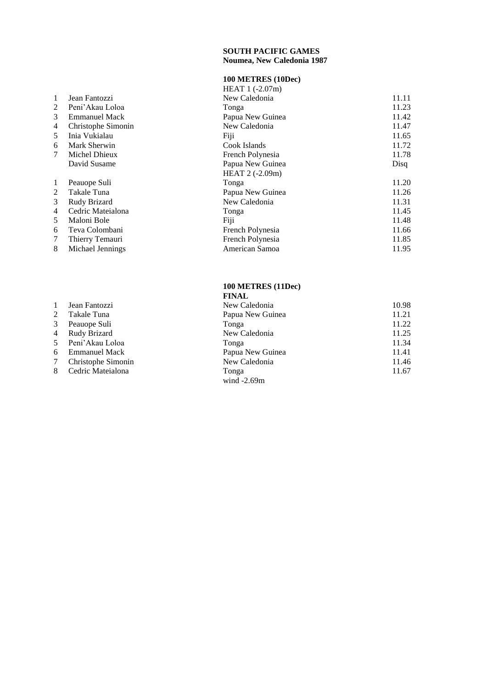# **SOUTH PACIFIC GAMES**

# **Noumea, New Caledonia 1987**

#### **100 METRES (10Dec )**

|    |                      | $HEAT 1 (-2.07m)$ |       |
|----|----------------------|-------------------|-------|
| 1  | Jean Fantozzi        | New Caledonia     | 11.11 |
| 2  | Peni'Akau Loloa      | Tonga             | 11.23 |
| 3  | <b>Emmanuel Mack</b> | Papua New Guinea  | 11.42 |
| 4  | Christophe Simonin   | New Caledonia     | 11.47 |
| 5  | Inia Vukialau        | Fiji              | 11.65 |
| 6  | Mark Sherwin         | Cook Islands      | 11.72 |
| 7  | Michel Dhieux        | French Polynesia  | 11.78 |
|    | David Susame         | Papua New Guinea  | Disq  |
|    |                      | HEAT $2(-2.09m)$  |       |
| -1 | Peauope Suli         | Tonga             | 11.20 |
| 2  | Takale Tuna          | Papua New Guinea  | 11.26 |
| 3  | Rudy Brizard         | New Caledonia     | 11.31 |
| 4  | Cedric Mateialona    | Tonga             | 11.45 |
| 5  | Maloni Bole          | Fiji              | 11.48 |
| 6  | Teva Colombani       | French Polynesia  | 11.66 |
| 7  | Thierry Temauri      | French Polynesia  | 11.85 |
| 8  | Michael Jennings     | American Samoa    | 11.95 |

### 1 Jean Fantozzi

- 2 Takale Tuna
- 
- 
- 5 Peni'Akau Loloa
- 6 Emmanuel Mack<br>7 Christophe Simon
- Christophe Simonin
- 8 Cedric Mateialona

### **100 METRES (11Dec) FINAL**

| 1 | Jean Fantozzi       | New Caledonia    | 10.98 |
|---|---------------------|------------------|-------|
| 2 | Takale Tuna         | Papua New Guinea | 11.21 |
| 3 | Peauope Suli        | Tonga            | 11.22 |
| 4 | <b>Rudy Brizard</b> | New Caledonia    | 11.25 |
|   | 5 Peni'Akau Loloa   | Tonga            | 11.34 |
|   | 6 Emmanuel Mack     | Papua New Guinea | 11.41 |
| 7 | Christophe Simonin  | New Caledonia    | 11.46 |
|   | 8 Cedric Mateialona | Tonga            | 11.67 |
|   |                     | wind $-2.69m$    |       |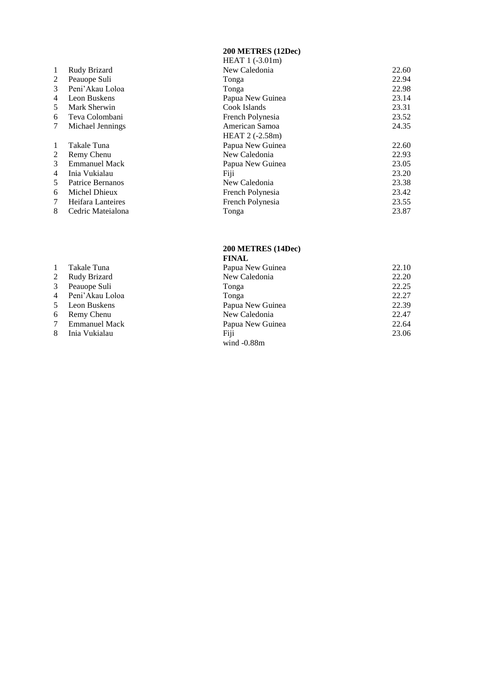#### **200 METRES (12Dec )**

|    |                      | $HEAT 1 (-3.01m)$ |       |
|----|----------------------|-------------------|-------|
| 1  | Rudy Brizard         | New Caledonia     | 22.60 |
| 2  | Peauope Suli         | Tonga             | 22.94 |
| 3  | Peni'Akau Loloa      | Tonga             | 22.98 |
| 4  | Leon Buskens         | Papua New Guinea  | 23.14 |
| 5  | Mark Sherwin         | Cook Islands      | 23.31 |
| 6  | Teva Colombani       | French Polynesia  | 23.52 |
| 7  | Michael Jennings     | American Samoa    | 24.35 |
|    |                      | HEAT 2 (-2.58m)   |       |
| 1  | Takale Tuna          | Papua New Guinea  | 22.60 |
| 2  | Remy Chenu           | New Caledonia     | 22.93 |
| 3  | <b>Emmanuel Mack</b> | Papua New Guinea  | 23.05 |
| 4  | Inia Vukialau        | Fiji              | 23.20 |
| 5. | Patrice Bernanos     | New Caledonia     | 23.38 |
| 6  | Michel Dhieux        | French Polynesia  | 23.42 |
| 7  | Heifara Lanteires    | French Polynesia  | 23.55 |
| 8  | Cedric Mateialona    | Tonga             | 23.87 |
|    |                      |                   |       |

#### **200 METRES (14Dec) FINAL**

|                 |                      | гичар            |       |
|-----------------|----------------------|------------------|-------|
| $\mathbf{1}$    | Takale Tuna          | Papua New Guinea | 22.10 |
| 2               | Rudy Brizard         | New Caledonia    | 22.20 |
| 3               | Peauope Suli         | Tonga            | 22.25 |
|                 | 4 Peni'Akau Loloa    | Tonga            | 22.27 |
|                 | 5 Leon Buskens       | Papua New Guinea | 22.39 |
| 6               | Remy Chenu           | New Caledonia    | 22.47 |
| $7\overline{ }$ | <b>Emmanuel Mack</b> | Papua New Guinea | 22.64 |
| 8               | Inia Vukialau        | Fiji             | 23.06 |
|                 |                      | wind $-0.88m$    |       |
|                 |                      |                  |       |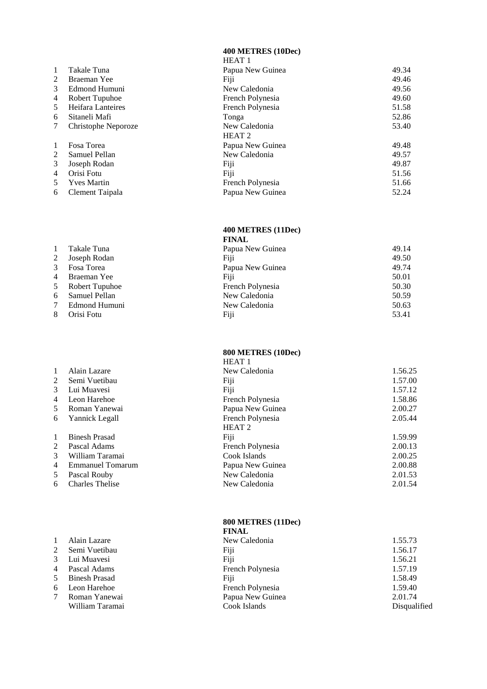**400 METRES (10Dec )**

|                |                     | HEAT <sub>1</sub> |       |
|----------------|---------------------|-------------------|-------|
| 1              | Takale Tuna         | Papua New Guinea  | 49.34 |
| 2              | Braeman Yee         | Fiji              | 49.46 |
| 3              | Edmond Humuni       | New Caledonia     | 49.56 |
| 4              | Robert Tupuhoe      | French Polynesia  | 49.60 |
| 5.             | Heifara Lanteires   | French Polynesia  | 51.58 |
| 6              | Sitaneli Mafi       | Tonga             | 52.86 |
| 7              | Christophe Neporoze | New Caledonia     | 53.40 |
|                |                     | HEAT <sub>2</sub> |       |
| 1              | Fosa Torea          | Papua New Guinea  | 49.48 |
| $\overline{2}$ | Samuel Pellan       | New Caledonia     | 49.57 |
| 3              | Joseph Rodan        | Fiji              | 49.87 |
| 4              | Orisi Fotu          | Fiji              | 51.56 |
| 5.             | <b>Yves Martin</b>  | French Polynesia  | 51.66 |
| 6              | Clement Taipala     | Papua New Guinea  | 52.24 |
|                |                     |                   |       |

1 Takale Tuna<br>2 Joseph Roda 2 Joseph Rodan<br>3 Fosa Torea Fosa Torea 4 Braeman Yee<br>5 Robert Tupuh Robert Tupuhoe

6 Samuel Pellan<br>7 Edmond Humu Edmond Humuni

8 Orisi Fotu

1 Alain Lazare

2 Semi Vuetibau<br>3 Lui Muavesi 3 Lui Muavesi<br>4 Pascal Adams Pascal Adams 5 Binesh Prasad 6 Leon Harehoe 7 Roman Yanewai

# **400 METRES (11Dec)**

| <b>FINAL</b>     |       |
|------------------|-------|
| Papua New Guinea | 49.14 |
| Fiji             | 49.50 |
| Papua New Guinea | 49.74 |
| Fiji             | 50.01 |
| French Polynesia | 50.30 |
| New Caledonia    | 50.59 |
| New Caledonia    | 50.63 |
| Fiji             | 53.41 |

#### **800 METRES (10Dec )**

|                |                         | <b>HEAT 1</b>     |         |
|----------------|-------------------------|-------------------|---------|
| 1              | Alain Lazare            | New Caledonia     | 1.56.25 |
| $\overline{2}$ | Semi Vuetibau           | Fiji              | 1.57.00 |
| 3              | Lui Muavesi             | Fiji              | 1.57.12 |
| 4              | Leon Harehoe            | French Polynesia  | 1.58.86 |
| 5              | Roman Yanewai           | Papua New Guinea  | 2.00.27 |
| 6              | Yannick Legall          | French Polynesia  | 2.05.44 |
|                |                         | HEAT <sub>2</sub> |         |
| 1              | <b>Binesh Prasad</b>    | Fiji              | 1.59.99 |
| $\overline{2}$ | Pascal Adams            | French Polynesia  | 2.00.13 |
| 3              | William Taramai         | Cook Islands      | 2.00.25 |
| 4              | <b>Emmanuel Tomarum</b> | Papua New Guinea  | 2.00.88 |
| 5.             | Pascal Rouby            | New Caledonia     | 2.01.53 |
| 6              | <b>Charles Thelise</b>  | New Caledonia     | 2.01.54 |
|                |                         |                   |         |

#### **800 METRES (11Dec) FINAL**

|                      | тичан            |              |
|----------------------|------------------|--------------|
| Alain Lazare         | New Caledonia    | 1.55.73      |
| Semi Vuetibau        | Fiji             | 1.56.17      |
| Lui Muavesi          | Fiji             | 1.56.21      |
| Pascal Adams         | French Polynesia | 1.57.19      |
| <b>Binesh Prasad</b> | Fiji             | 1.58.49      |
| Leon Harehoe         | French Polynesia | 1.59.40      |
| Roman Yanewai        | Papua New Guinea | 2.01.74      |
| William Taramai      | Cook Islands     | Disqualified |
|                      |                  |              |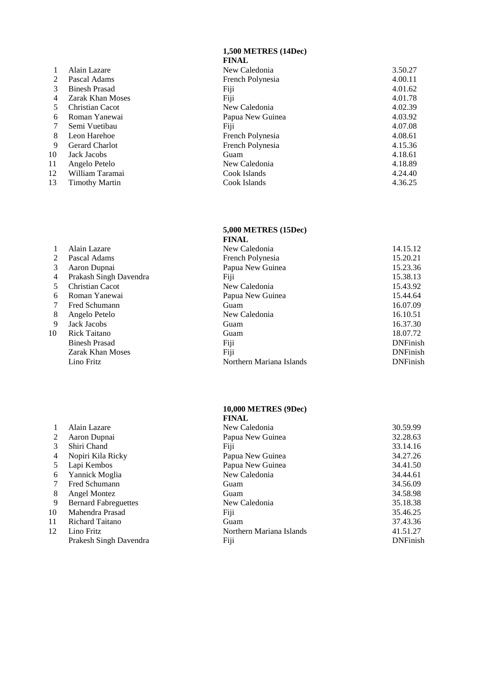#### **1,500 METRES (14Dec )**

|               |                         | <b>FINAL</b>     |         |
|---------------|-------------------------|------------------|---------|
|               | Alain Lazare            | New Caledonia    | 3.50.27 |
| $\mathcal{L}$ | Pascal Adams            | French Polynesia | 4.00.11 |
| 3             | <b>Binesh Prasad</b>    | Fiji             | 4.01.62 |
| 4             | <b>Zarak Khan Moses</b> | Fiji             | 4.01.78 |
| 5.            | <b>Christian Cacot</b>  | New Caledonia    | 4.02.39 |
| 6             | Roman Yanewai           | Papua New Guinea | 4.03.92 |
|               | Semi Vuetibau           | Fiji             | 4.07.08 |
| 8             | Leon Harehoe            | French Polynesia | 4.08.61 |
| 9             | <b>Gerard Charlot</b>   | French Polynesia | 4.15.36 |
| 10            | Jack Jacobs             | Guam             | 4.18.61 |
| 11            | Angelo Petelo           | New Caledonia    | 4.18.89 |
| 12            | William Taramai         | Cook Islands     | 4.24.40 |
| 13            | <b>Timothy Martin</b>   | Cook Islands     | 4.36.25 |
|               |                         |                  |         |

#### **5,000 METRES (15Dec )**

|    |                         | <b>FINAL</b>             |                 |
|----|-------------------------|--------------------------|-----------------|
|    | Alain Lazare            | New Caledonia            | 14.15.12        |
| 2  | Pascal Adams            | French Polynesia         | 15.20.21        |
| 3  | Aaron Dupnai            | Papua New Guinea         | 15.23.36        |
| 4  | Prakash Singh Davendra  | Fiji                     | 15.38.13        |
| 5  | <b>Christian Cacot</b>  | New Caledonia            | 15.43.92        |
| 6  | Roman Yanewai           | Papua New Guinea         | 15.44.64        |
|    | Fred Schumann           | Guam                     | 16.07.09        |
| 8  | Angelo Petelo           | New Caledonia            | 16.10.51        |
| 9  | Jack Jacobs             | Guam                     | 16.37.30        |
| 10 | Rick Taitano            | Guam                     | 18.07.72        |
|    | <b>Binesh Prasad</b>    | Fiji                     | <b>DNFinish</b> |
|    | <b>Zarak Khan Moses</b> | Fiji                     | <b>DNFinish</b> |
|    | Lino Fritz              | Northern Mariana Islands | <b>DNFinish</b> |

#### **10,000 METRES (9Dec )**

|    |                             | <b>FINAL</b>             |                 |
|----|-----------------------------|--------------------------|-----------------|
|    | Alain Lazare                | New Caledonia            | 30.59.99        |
| 2  | Aaron Dupnai                | Papua New Guinea         | 32.28.63        |
| 3  | Shiri Chand                 | Fiji                     | 33.14.16        |
| 4  | Nopiri Kila Ricky           | Papua New Guinea         | 34.27.26        |
| 5  | Lapi Kembos                 | Papua New Guinea         | 34.41.50        |
| 6  | Yannick Moglia              | New Caledonia            | 34.44.61        |
|    | Fred Schumann               | Guam                     | 34.56.09        |
| 8  | Angel Montez                | Guam                     | 34.58.98        |
| 9  | <b>Bernard Fabreguettes</b> | New Caledonia            | 35.18.38        |
| 10 | Mahendra Prasad             | Fiji                     | 35.46.25        |
| 11 | Richard Taitano             | Guam                     | 37.43.36        |
| 12 | Lino Fritz                  | Northern Mariana Islands | 41.51.27        |
|    | Prakesh Singh Davendra      | Fiji                     | <b>DNFinish</b> |
|    |                             |                          |                 |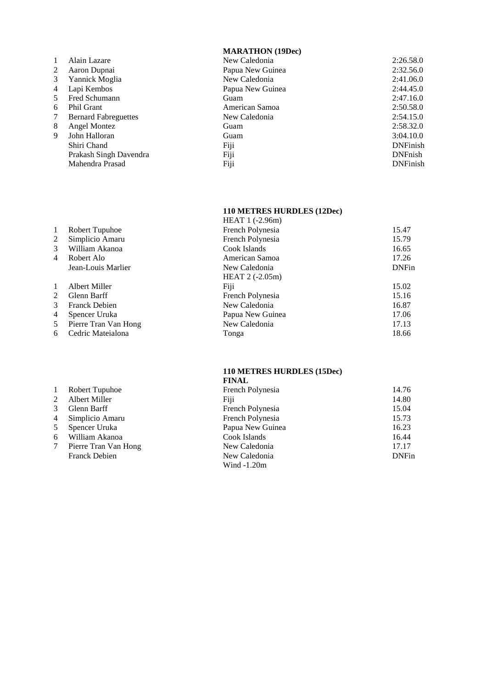# **MARATHON (19Dec)**

|   | Alain Lazare                | New Caledonia    | 2:26.58.0       |
|---|-----------------------------|------------------|-----------------|
| 2 | Aaron Dupnai                | Papua New Guinea | 2:32.56.0       |
| 3 | Yannick Moglia              | New Caledonia    | 2:41.06.0       |
| 4 | Lapi Kembos                 | Papua New Guinea | 2:44.45.0       |
| 5 | Fred Schumann               | Guam             | 2:47.16.0       |
| 6 | <b>Phil Grant</b>           | American Samoa   | 2:50.58.0       |
| 7 | <b>Bernard Fabreguettes</b> | New Caledonia    | 2:54.15.0       |
| 8 | Angel Montez                | Guam             | 2:58.32.0       |
| 9 | John Halloran               | Guam             | 3:04.10.0       |
|   | Shiri Chand                 | Fiji             | <b>DNFinish</b> |
|   | Prakash Singh Davendra      | Fiji             | <b>DNFnish</b>  |
|   | Mahendra Prasad             | Fiji             | <b>DNFinish</b> |
|   |                             |                  |                 |

# **110 METRES HURDLES (12Dec)**

|              |                      | HEAT 1 (-2.96m)  |              |
|--------------|----------------------|------------------|--------------|
| 1            | Robert Tupuhoe       | French Polynesia | 15.47        |
| 2            | Simplicio Amaru      | French Polynesia | 15.79        |
| 3            | William Akanoa       | Cook Islands     | 16.65        |
| 4            | Robert Alo           | American Samoa   | 17.26        |
|              | Jean-Louis Marlier   | New Caledonia    | <b>DNFin</b> |
|              |                      | HEAT $2(-2.05m)$ |              |
| $\mathbf{1}$ | Albert Miller        | Fiji             | 15.02        |
| 2            | Glenn Barff          | French Polynesia | 15.16        |
| 3            | <b>Franck Debien</b> | New Caledonia    | 16.87        |
| 4            | Spencer Uruka        | Papua New Guinea | 17.06        |
| 5            | Pierre Tran Van Hong | New Caledonia    | 17.13        |
| 6            | Cedric Mateialona    | Tonga            | 18.66        |
|              |                      |                  |              |

# **110 METRES HURDLES (15Dec)**

|                |                      | <b>FINAL</b>     |              |
|----------------|----------------------|------------------|--------------|
| 1              | Robert Tupuhoe       | French Polynesia | 14.76        |
| 2              | Albert Miller        | Fiji             | 14.80        |
| 3              | Glenn Barff          | French Polynesia | 15.04        |
| $\overline{4}$ | Simplicio Amaru      | French Polynesia | 15.73        |
| 5              | Spencer Uruka        | Papua New Guinea | 16.23        |
| 6              | William Akanoa       | Cook Islands     | 16.44        |
| 7              | Pierre Tran Van Hong | New Caledonia    | 17.17        |
|                | <b>Franck Debien</b> | New Caledonia    | <b>DNFin</b> |
|                |                      | Wind $-1.20m$    |              |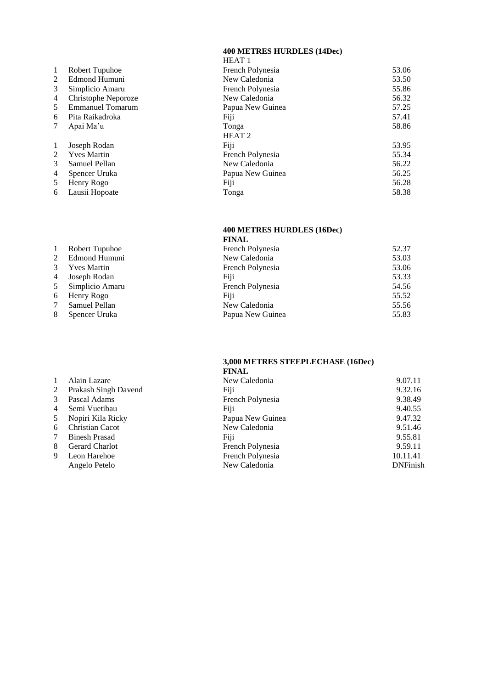**400 METRES HURDLES (14Dec)**

|    |                     | HEAT <sub>1</sub> |       |
|----|---------------------|-------------------|-------|
| -1 | Robert Tupuhoe      | French Polynesia  | 53.06 |
| 2  | Edmond Humuni       | New Caledonia     | 53.50 |
| 3  | Simplicio Amaru     | French Polynesia  | 55.86 |
| 4  | Christophe Neporoze | New Caledonia     | 56.32 |
| .5 | Emmanuel Tomarum    | Papua New Guinea  | 57.25 |
| 6  | Pita Raikadroka     | Fiji              | 57.41 |
| 7  | Apai Ma'u           | Tonga             | 58.86 |
|    |                     | HEAT <sub>2</sub> |       |
| -1 | Joseph Rodan        | Fiji              | 53.95 |
| 2  | <b>Yves Martin</b>  | French Polynesia  | 55.34 |
| 3  | Samuel Pellan       | New Caledonia     | 56.22 |
| 4  | Spencer Uruka       | Papua New Guinea  | 56.25 |
| 5  | Henry Rogo          | Fiji              | 56.28 |
| 6  | Lausii Hopoate      | Tonga             | 58.38 |

# **400 METRES HURDLES (16Dec)**

|   |                    | <b>FINAL</b>     |       |
|---|--------------------|------------------|-------|
| 1 | Robert Tupuhoe     | French Polynesia | 52.37 |
| 2 | Edmond Humuni      | New Caledonia    | 53.03 |
| 3 | <b>Yves Martin</b> | French Polynesia | 53.06 |
| 4 | Joseph Rodan       | Fiji             | 53.33 |
| 5 | Simplicio Amaru    | French Polynesia | 54.56 |
| 6 | Henry Rogo         | Fiji             | 55.52 |
|   | Samuel Pellan      | New Caledonia    | 55.56 |
| 8 | Spencer Uruka      | Papua New Guinea | 55.83 |

#### **3,000 METRES STEEPLECHASE (16Dec) FINAL**

|    |                        | FINAL            |                 |
|----|------------------------|------------------|-----------------|
|    | Alain Lazare           | New Caledonia    | 9.07.11         |
| 2  | Prakash Singh Davend   | Fiji             | 9.32.16         |
| 3  | Pascal Adams           | French Polynesia | 9.38.49         |
| 4  | Semi Vuetibau          | Fiji             | 9.40.55         |
| 5  | Nopiri Kila Ricky      | Papua New Guinea | 9.47.32         |
| 6  | <b>Christian Cacot</b> | New Caledonia    | 9.51.46         |
| 7  | <b>Binesh Prasad</b>   | Fiji             | 9.55.81         |
| 8. | Gerard Charlot         | French Polynesia | 9.59.11         |
| 9  | Leon Harehoe           | French Polynesia | 10.11.41        |
|    | Angelo Petelo          | New Caledonia    | <b>DNFinish</b> |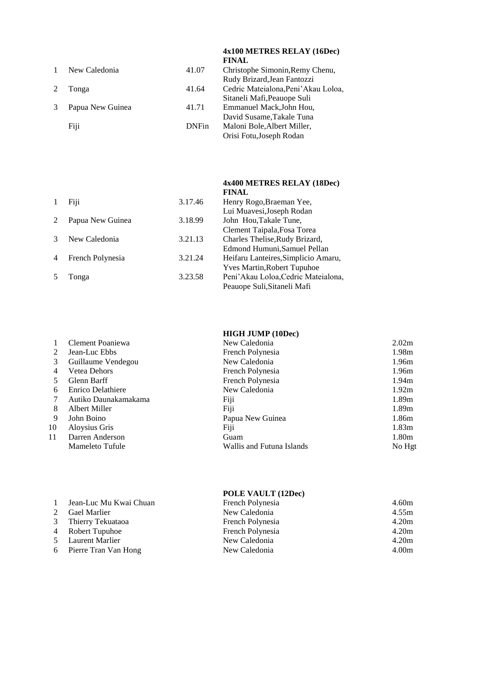|  |                  |              | <b>FINAL</b>                         |
|--|------------------|--------------|--------------------------------------|
|  | New Caledonia    | 41.07        | Christophe Simonin, Remy Chenu,      |
|  |                  |              | Rudy Brizard, Jean Fantozzi          |
|  | Tonga            | 41.64        | Cedric Mateialona, Peni' Akau Loloa, |
|  |                  |              | Sitaneli Mafi, Peauope Suli          |
|  | Papua New Guinea | 41.71        | Emmanuel Mack, John Hou,             |
|  |                  |              | David Susame, Takale Tuna            |
|  | Fiji             | <b>DNFin</b> | Maloni Bole, Albert Miller,          |
|  |                  |              | Orisi Fotu, Joseph Rodan             |
|  |                  |              |                                      |

### **4x400 METRES RELAY (18Dec) FINAL**

**4x100 METRES RELAY (16Dec)**

|                | Fiji             | 3.17.46 | Henry Rogo, Braeman Yee,            |
|----------------|------------------|---------|-------------------------------------|
|                |                  |         | Lui Muavesi, Joseph Rodan           |
| $\mathcal{L}$  | Papua New Guinea | 3.18.99 | John Hou, Takale Tune,              |
|                |                  |         | Clement Taipala, Fosa Torea         |
|                | New Caledonia    | 3.21.13 | Charles Thelise, Rudy Brizard,      |
|                |                  |         | Edmond Humuni, Samuel Pellan        |
| $\overline{4}$ | French Polynesia | 3.21.24 | Heifaru Lanteires, Simplicio Amaru, |
|                |                  |         | <b>Yves Martin, Robert Tupuhoe</b>  |
|                | Tonga            | 3.23.58 | Peni'Akau Loloa, Cedric Mateialona, |
|                |                  |         | Peauope Suli, Sitaneli Mafi         |
|                |                  |         |                                     |

# **HIGH JUMP (10Dec)**

|    | Clement Poaniewa     | New Caledonia             | 2.02 <sub>m</sub> |
|----|----------------------|---------------------------|-------------------|
| 2  | Jean-Luc Ebbs        | French Polynesia          | 1.98m             |
| 3  | Guillaume Vendegou   | New Caledonia             | 1.96m             |
| 4  | Vetea Dehors         | French Polynesia          | 1.96m             |
|    | Glenn Barff          | French Polynesia          | 1.94 <sub>m</sub> |
| 6  | Enrico Delathiere    | New Caledonia             | 1.92m             |
|    | Autiko Daunakamakama | Fiji                      | 1.89m             |
| 8  | Albert Miller        | Fiji                      | 1.89m             |
| 9  | John Boino           | Papua New Guinea          | 1.86m             |
| 10 | Aloysius Gris        | Fiji                      | 1.83 <sub>m</sub> |
| 11 | Darren Anderson      | Guam                      | 1.80m             |
|    | Mameleto Tufule      | Wallis and Futuna Islands | No Hgt            |
|    |                      |                           |                   |

### **POLE VAULT (12Dec)**

| $\overline{1}$ | Jean-Luc Mu Kwai Chuan | French Polynesia | 4.60m |
|----------------|------------------------|------------------|-------|
| $2^{\circ}$    | Gael Marlier           | New Caledonia    | 4.55m |
|                | 3 Thierry Tekuataoa    | French Polynesia | 4.20m |
|                | 4 Robert Tupuhoe       | French Polynesia | 4.20m |
|                | 5 Laurent Marlier      | New Caledonia    | 4.20m |
|                | 6 Pierre Tran Van Hong | New Caledonia    | 4.00m |
|                |                        |                  |       |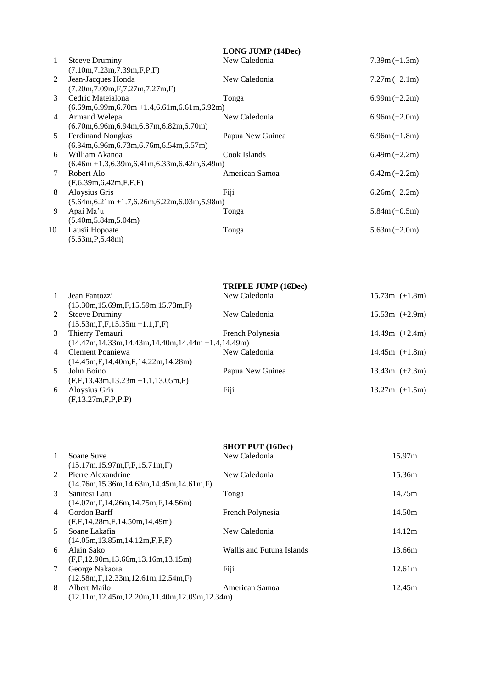|    |                                                    | <b>LONG JUMP (14Dec)</b> |                 |
|----|----------------------------------------------------|--------------------------|-----------------|
| 1  | <b>Steeve Druminy</b>                              | New Caledonia            | $7.39m (+1.3m)$ |
|    | (7.10m, 7.23m, 7.39m, F, P, F)                     |                          |                 |
| 2  | Jean-Jacques Honda                                 | New Caledonia            | $7.27m (+2.1m)$ |
|    | (7.20m, 7.09m, F, 7.27m, 7.27m, F)                 |                          |                 |
| 3  | Cedric Mateialona                                  | Tonga                    | $6.99m (+2.2m)$ |
|    | $(6.69m, 6.99m, 6.70m + 1.4, 6.61m, 6.61m, 6.92m)$ |                          |                 |
| 4  | Armand Welepa                                      | New Caledonia            | $6.96m (+2.0m)$ |
|    | $(6.70m, 6.96m, 6.94m, 6.87m, 6.82m, 6.70m)$       |                          |                 |
| 5  | <b>Ferdinand Nongkas</b>                           | Papua New Guinea         | $6.96m (+1.8m)$ |
|    | $(6.34m, 6.96m, 6.73m, 6.76m, 6.54m, 6.57m)$       |                          |                 |
| 6  | William Akanoa                                     | Cook Islands             | $6.49m (+2.2m)$ |
|    | $(6.46m + 1.3, 6.39m, 6.41m, 6.33m, 6.42m, 6.49m)$ |                          |                 |
| 7  | Robert Alo                                         | American Samoa           | $6.42m (+2.2m)$ |
|    | (F, 6.39m, 6.42m, F, F, F)                         |                          |                 |
| 8  | Aloysius Gris                                      | Fiji                     | $6.26m (+2.2m)$ |
|    | $(5.64m, 6.21m + 1.7, 6.26m, 6.22m, 6.03m, 5.98m)$ |                          |                 |
| 9  | Apai Ma'u                                          | Tonga                    | $5.84m (+0.5m)$ |
|    | (5.40m, 5.84m, 5.04m)                              |                          |                 |
| 10 | Lausii Hopoate                                     | Tonga                    | $5.63m (+2.0m)$ |
|    | (5.63m, P, 5.48m)                                  |                          |                 |

|                |                                                          | <b>TRIPLE JUMP (16Dec)</b> |                  |
|----------------|----------------------------------------------------------|----------------------------|------------------|
| $\mathbf{1}$   | Jean Fantozzi                                            | New Caledonia              | $15.73m (+1.8m)$ |
|                | $(15.30m, 15.69m, F, 15.59m, 15.73m, F)$                 |                            |                  |
| 2              | <b>Steeve Druminy</b>                                    | New Caledonia              | $15.53m (+2.9m)$ |
|                | $(15.53m,F,F,15.35m+1.1,F,F)$                            |                            |                  |
| 3              | Thierry Temauri                                          | French Polynesia           | 14.49m $(+2.4m)$ |
|                | $(14.47m, 14.33m, 14.43m, 14.40m, 14.44m + 1.4, 14.49m)$ |                            |                  |
| $\overline{4}$ | Clement Poaniewa                                         | New Caledonia              | $14.45m (+1.8m)$ |
|                | $(14.45m,\mathrm{F},14.40m,\mathrm{F},14.22m,14.28m)$    |                            |                  |
| 5              | John Boino                                               | Papua New Guinea           | $13.43m (+2.3m)$ |
|                | $(F,F,13.43m,13.23m+1.1,13.05m,P)$                       |                            |                  |
| 6              | Aloysius Gris                                            | Fiji                       | $13.27m (+1.5m)$ |
|                | (F, 13.27m, F, P, P, P)                                  |                            |                  |

|                |                                                    | <b>SHOT PUT (16Dec)</b>   |        |
|----------------|----------------------------------------------------|---------------------------|--------|
| $\mathbf{1}$   | Soane Suve                                         | New Caledonia             | 15.97m |
|                | (15.17m.15.97m,F,F,15.71m,F)                       |                           |        |
| $2^{\circ}$    | Pierre Alexandrine                                 | New Caledonia             | 15.36m |
|                | $(14.76m, 15.36m, 14.63m, 14.45m, 14.61m, F)$      |                           |        |
| 3              | Sanitesi Latu                                      | Tonga                     | 14.75m |
|                | (14.07m.F.14.26m.14.75m.F.14.56m)                  |                           |        |
| $\overline{4}$ | Gordon Barff                                       | French Polynesia          | 14.50m |
|                | (F, F, 14.28m, F, 14.50m, 14.49m)                  |                           |        |
| 5              | Soane Lakafia                                      | New Caledonia             | 14.12m |
|                | (14.05m, 13.85m, 14.12m, F, F, F)                  |                           |        |
| 6              | Alain Sako                                         | Wallis and Futuna Islands | 13.66m |
|                | (F.F. 12.90m. 13.66m. 13.16m. 13.15m)              |                           |        |
| 7              | George Nakaora                                     | Fiji                      | 12.61m |
|                | (12.58m.F.12.33m.12.61m.12.54m.F)                  |                           |        |
| 8              | Albert Mailo                                       | American Samoa            | 12.45m |
|                | $(12.11m, 12.45m, 12.20m, 11.40m, 12.09m, 12.34m)$ |                           |        |
|                |                                                    |                           |        |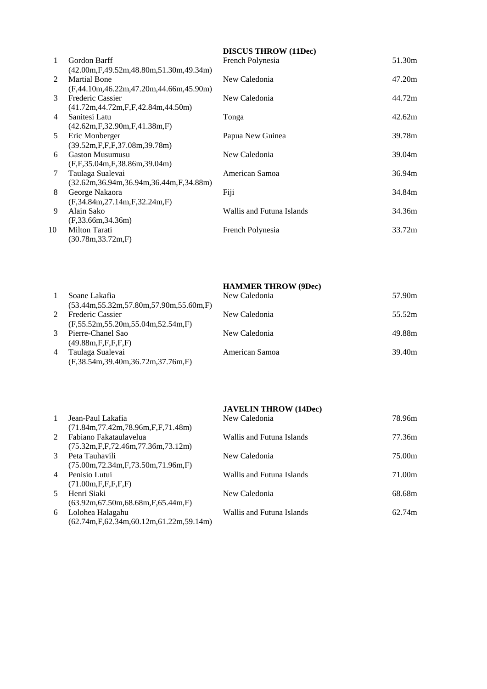|               |                                                           | <b>DISCUS THROW</b> (11Dec) |        |
|---------------|-----------------------------------------------------------|-----------------------------|--------|
| 1             | Gordon Barff                                              | French Polynesia            | 51.30m |
|               | $(42.00m, F, 49.52m, 48.80m, 51.30m, 49.34m)$             |                             |        |
| $\mathcal{L}$ | <b>Martial Bone</b>                                       | New Caledonia               | 47.20m |
|               | $(F,44.10m,46.22m,47.20m,44.66m,45.90m)$                  |                             |        |
| 3             | Frederic Cassier                                          | New Caledonia               | 44.72m |
|               | $(41.72m, 44.72m, F, F, 42.84m, 44.50m)$                  |                             |        |
| 4             | Sanitesi Latu                                             | Tonga                       | 42.62m |
|               | $(42.62m,\mathrm{F},32.90m,\mathrm{F},41.38m,\mathrm{F})$ |                             |        |
| 5             | Eric Monberger                                            | Papua New Guinea            | 39.78m |
|               | (39.52m, F, F, F, 37.08m, 39.78m)                         |                             |        |
| 6             | <b>Gaston Musumusu</b>                                    | New Caledonia               | 39.04m |
|               | (F, F, 35.04m, F, 38.86m, 39.04m)                         |                             |        |
| 7             | Taulaga Sualevai                                          | American Samoa              | 36.94m |
|               | (32.62m, 36.94m, 36.94m, 36.44m, F, 34.88m)               |                             |        |
| 8             | George Nakaora                                            | Fiji                        | 34.84m |
|               | (F, 34.84m, 27.14m, F, 32.24m, F)                         |                             |        |
| 9             | Alain Sako                                                | Wallis and Futuna Islands   | 34.36m |
|               | (F, 33.66m, 34.36m)                                       |                             |        |
| 10            | <b>Milton Tarati</b>                                      | French Polynesia            | 33.72m |
|               | (30.78m, 33.72m, F)                                       |                             |        |

|                |                                               | <b>HAMMER THROW (9Dec)</b> |        |
|----------------|-----------------------------------------------|----------------------------|--------|
|                | Soane Lakafia                                 | New Caledonia              | 57.90m |
|                | $(53.44m, 55.32m, 57.80m, 57.90m, 55.60m, F)$ |                            |        |
| $2^{\circ}$    | <b>Frederic Cassier</b>                       | New Caledonia              | 55.52m |
|                | (F.55.52m.55.20m.55.04m.52.54m.F)             |                            |        |
| $\mathcal{E}$  | Pierre-Chanel Sao                             | New Caledonia              | 49.88m |
|                | (49.88m.F.F.F.F.F.F)                          |                            |        |
| $\overline{4}$ | Taulaga Sualevai                              | American Samoa             | 39.40m |
|                | $(F, 38.54m, 39.40m, 36.72m, 37.76m, F)$      |                            |        |

|                |                                                            | <b>JAVELIN THROW (14Dec)</b> |        |
|----------------|------------------------------------------------------------|------------------------------|--------|
| $\mathbf{1}$   | Jean-Paul Lakafia                                          | New Caledonia                | 78.96m |
|                | $(71.84m, 77.42m, 78.96m, F, F, 71.48m)$                   |                              |        |
| $2^{\circ}$    | Fabiano Fakataulavelua                                     | Wallis and Futuna Islands    | 77.36m |
|                | $(75.32m$ , F, F, $72.46m$ , $77.36m$ , $73.12m$ )         |                              |        |
| $\mathcal{E}$  | Peta Tauhavili                                             | New Caledonia                | 75.00m |
|                | $(75.00m, 72.34m, F, 73.50m, 71.96m, F)$                   |                              |        |
| $\overline{4}$ | Penisio Lutui                                              | Wallis and Futuna Islands    | 71.00m |
|                | (71.00m, F, F, F, F, F)                                    |                              |        |
| 5              | Henri Siaki                                                | New Caledonia                | 68.68m |
|                | $(63.92m, 67.50m, 68.68m, F, 65.44m, F)$                   |                              |        |
| 6              | Lolohea Halagahu                                           | Wallis and Futuna Islands    | 62.74m |
|                | $(62.74m$ , F, $62.34m$ , $60.12m$ , $61.22m$ , $59.14m$ ) |                              |        |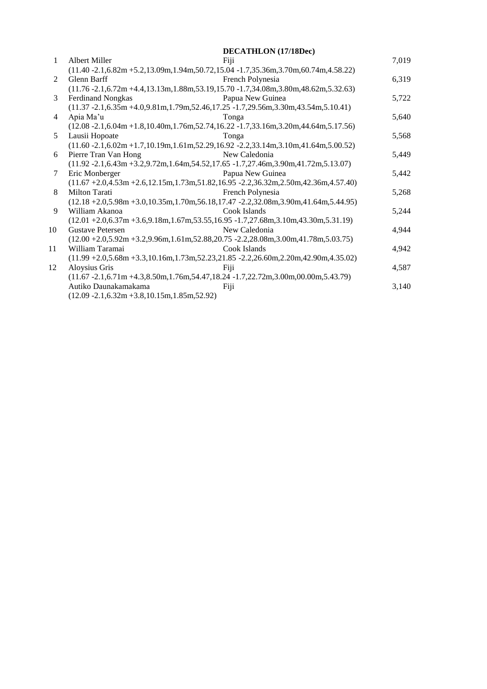|              |                                                                                                 | <b>DECATHLON</b> (17/18Dec) |       |
|--------------|-------------------------------------------------------------------------------------------------|-----------------------------|-------|
| $\mathbf{1}$ | Albert Miller                                                                                   | Fiji                        | 7,019 |
|              | $(11.40 - 2.1, 6.82m + 5.2, 13.09m, 1.94m, 50.72, 15.04 - 1.7, 35.36m, 3.70m, 60.74m, 4.58.22)$ |                             |       |
| 2            | Glenn Barff                                                                                     | French Polynesia            | 6,319 |
|              | $(11.76 - 2.1, 6.72m + 4.4, 13.13m, 1.88m, 53.19, 15.70 - 1.7, 34.08m, 3.80m, 48.62m, 5.32.63)$ |                             |       |
| 3            | <b>Ferdinand Nongkas</b>                                                                        | Papua New Guinea            | 5,722 |
|              | $(11.37 - 2.1, 6.35m + 4.0, 9.81m, 1.79m, 52.46, 17.25 - 1.7, 29.56m, 3.30m, 43.54m, 5.10.41)$  |                             |       |
| 4            | Apia Ma'u                                                                                       | Tonga                       | 5,640 |
|              | $(12.08 - 2.1, 6.04m + 1.8, 10.40m, 1.76m, 52.74, 16.22 - 1.7, 33.16m, 3.20m, 44.64m, 5.17.56)$ |                             |       |
| 5            | Lausii Hopoate                                                                                  | Tonga                       | 5,568 |
|              | $(11.60 - 2.1, 6.02m + 1.7, 10.19m, 1.61m, 52.29, 16.92 - 2.2, 33.14m, 3.10m, 41.64m, 5.00.52)$ |                             |       |
| 6            | Pierre Tran Van Hong                                                                            | New Caledonia               | 5,449 |
|              | $(11.92 - 2.1, 6.43m + 3.2, 9.72m, 1.64m, 54.52, 17.65 - 1.7, 27.46m, 3.90m, 41.72m, 5.13.07)$  |                             |       |
| 7            | Eric Monberger                                                                                  | Papua New Guinea            | 5,442 |
|              | $(11.67 + 2.0, 4.53m + 2.6, 12.15m, 1.73m, 51.82, 16.95 - 2.2, 36.32m, 2.50m, 42.36m, 4.57.40)$ |                             |       |
| 8            | Milton Tarati                                                                                   | French Polynesia            | 5,268 |
|              | $(12.18 + 2.0,5.98m + 3.0,10.35m,1.70m,56.18,17.47 - 2.2,32.08m,3.90m,41.64m,5.44.95)$          |                             |       |
| 9            | William Akanoa                                                                                  | Cook Islands                | 5,244 |
|              | $(12.01 + 2.0, 6.37m + 3.6, 9.18m, 1.67m, 53.55, 16.95 - 1.7, 27.68m, 3.10m, 43.30m, 5.31.19)$  |                             |       |
| 10           | <b>Gustave Petersen</b>                                                                         | New Caledonia               | 4.944 |
|              | $(12.00 + 2.0, 5.92m + 3.2, 9.96m, 1.61m, 52.88, 20.75 - 2.2, 28.08m, 3.00m, 41.78m, 5.03.75)$  |                             |       |
| 11           | William Taramai                                                                                 | Cook Islands                | 4.942 |
|              | $(11.99 + 2.0,5.68m + 3.3,10.16m,1.73m,52.23,21.85 - 2.2,26.60m,2.20m,42.90m,4.35.02)$          |                             |       |
| 12           | Aloysius Gris                                                                                   | Fiji                        | 4,587 |
|              | $(11.67 - 2.1, 6.71m + 4.3, 8.50m, 1.76m, 54.47, 18.24 - 1.7, 22.72m, 3.00m, 00.00m, 5.43.79)$  |                             |       |
|              | Autiko Daunakamakama                                                                            | Fiji                        | 3,140 |
|              | $(12.09 - 2.1, 6.32m + 3.8, 10.15m, 1.85m, 52.92)$                                              |                             |       |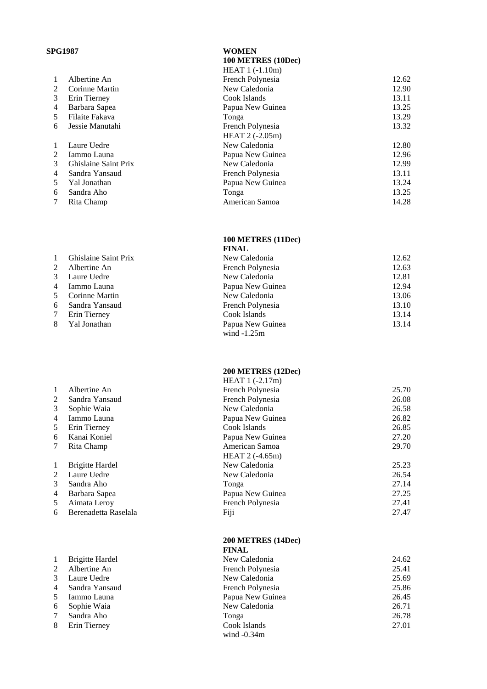# **SPG1987 WOMEN**

1 Brigitte Hardel  $2$  Albertine An 3 Laure Uedre 4 Sandra Yansaud 5 Iammo Launa 6 Sophie Waia<br>7 Sandra Aho Sandra Aho  $\frac{8}{8}$  Erin Tierney

|                |                      | HEAT 1 (-1.10m)  |       |
|----------------|----------------------|------------------|-------|
| 1              | Albertine An         | French Polynesia | 12.62 |
| 2              | Corinne Martin       | New Caledonia    | 12.90 |
| 3              | Erin Tierney         | Cook Islands     | 13.11 |
| 4              | Barbara Sapea        | Papua New Guinea | 13.25 |
| 5              | Filaite Fakava       | Tonga            | 13.29 |
| 6              | Jessie Manutahi      | French Polynesia | 13.32 |
|                |                      | HEAT $2(-2.05m)$ |       |
| 1              | Laure Uedre          | New Caledonia    | 12.80 |
| $\overline{2}$ | Iammo Launa          | Papua New Guinea | 12.96 |
| 3              | Ghislaine Saint Prix | New Caledonia    | 12.99 |
| 4              | Sandra Yansaud       | French Polynesia | 13.11 |
| 5.             | Yal Jonathan         | Papua New Guinea | 13.24 |
| 6              | Sandra Aho           | Tonga            | 13.25 |
| 7              | Rita Champ           | American Samoa   | 14.28 |
|                |                      |                  |       |

#### **100 METRES (11Dec) FINAL**

**100 METRES (10Dec )**

|             |                      | FINAL            |       |
|-------------|----------------------|------------------|-------|
|             | Ghislaine Saint Prix | New Caledonia    | 12.62 |
| $2^{\circ}$ | Albertine An         | French Polynesia | 12.63 |
| 3           | Laure Uedre          | New Caledonia    | 12.81 |
| 4           | Iammo Launa          | Papua New Guinea | 12.94 |
| 5           | Corinne Martin       | New Caledonia    | 13.06 |
| 6           | Sandra Yansaud       | French Polynesia | 13.10 |
| 7           | Erin Tierney         | Cook Islands     | 13.14 |
| 8           | Yal Jonathan         | Papua New Guinea | 13.14 |
|             |                      | wind $-1.25m$    |       |

### **200 METRES (12Dec )**

|   |                        | $HEAT1(-2.17m)$  |       |
|---|------------------------|------------------|-------|
| 1 | Albertine An           | French Polynesia | 25.70 |
| 2 | Sandra Yansaud         | French Polynesia | 26.08 |
| 3 | Sophie Waia            | New Caledonia    | 26.58 |
| 4 | Iammo Launa            | Papua New Guinea | 26.82 |
| 5 | Erin Tierney           | Cook Islands     | 26.85 |
| 6 | Kanai Koniel           | Papua New Guinea | 27.20 |
| 7 | Rita Champ             | American Samoa   | 29.70 |
|   |                        | HEAT 2 (-4.65m)  |       |
| 1 | <b>Brigitte Hardel</b> | New Caledonia    | 25.23 |
| 2 | Laure Uedre            | New Caledonia    | 26.54 |
| 3 | Sandra Aho             | Tonga            | 27.14 |
| 4 | Barbara Sapea          | Papua New Guinea | 27.25 |
| 5 | Aimata Leroy           | French Polynesia | 27.41 |
| 6 | Berenadetta Raselala   | Fiji             | 27.47 |
|   |                        |                  |       |
|   |                        |                  |       |

#### **200 METRES (14Dec) FINAL**

| .                |       |
|------------------|-------|
| New Caledonia    | 24.62 |
| French Polynesia | 25.41 |
| New Caledonia    | 25.69 |
| French Polynesia | 25.86 |
| Papua New Guinea | 26.45 |
| New Caledonia    | 26.71 |
| Tonga            | 26.78 |
| Cook Islands     | 27.01 |
| wind $-0.34m$    |       |
|                  |       |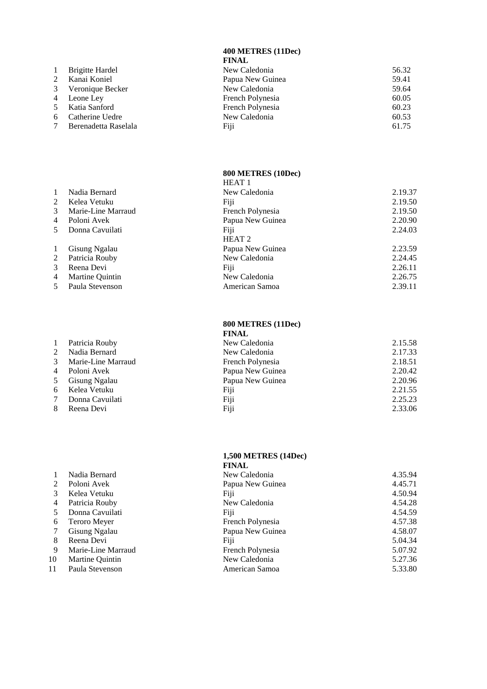#### **400 METRES (11Dec ) FINAL**

|                |                        | FINAL            |       |
|----------------|------------------------|------------------|-------|
| $\mathbf{1}$   | <b>Brigitte Hardel</b> | New Caledonia    | 56.32 |
|                | 2 Kanai Koniel         | Papua New Guinea | 59.41 |
|                | 3 Veronique Becker     | New Caledonia    | 59.64 |
|                | 4 Leone Ley            | French Polynesia | 60.05 |
|                | 5 Katia Sanford        | French Polynesia | 60.23 |
| 6              | Catherine Uedre        | New Caledonia    | 60.53 |
| $7\phantom{0}$ | Berenadetta Raselala   | Fiji             | 61.75 |
|                |                        |                  |       |

#### **800 METRES (10Dec )** HEAT 1

|              |                        | FILAI 1           |         |
|--------------|------------------------|-------------------|---------|
| 1            | Nadia Bernard          | New Caledonia     | 2.19.37 |
|              | 2 Kelea Vetuku         | Fiji              | 2.19.50 |
| 3            | Marie-Line Marraud     | French Polynesia  | 2.19.50 |
|              | 4 Poloni Avek          | Papua New Guinea  | 2.20.90 |
|              | 5 Donna Cavuilati      | Fiji              | 2.24.03 |
|              |                        | HEAT <sub>2</sub> |         |
| $\mathbf{1}$ | Gisung Ngalau          | Papua New Guinea  | 2.23.59 |
|              | 2 Patricia Rouby       | New Caledonia     | 2.24.45 |
| 3            | Reena Devi             | Fiji              | 2.26.11 |
| 4            | <b>Martine Ouintin</b> | New Caledonia     | 2.26.75 |
|              | 5 Paula Stevenson      | American Samoa    | 2.39.11 |
|              |                        |                   |         |

#### **800 METRES (11Dec)**

|                |                    | <b>FINAL</b>     |         |
|----------------|--------------------|------------------|---------|
| $\overline{1}$ | Patricia Rouby     | New Caledonia    | 2.15.58 |
| 2              | Nadia Bernard      | New Caledonia    | 2.17.33 |
| $\mathcal{E}$  | Marie-Line Marraud | French Polynesia | 2.18.51 |
| $\overline{4}$ | Poloni Avek        | Papua New Guinea | 2.20.42 |
| 5              | Gisung Ngalau      | Papua New Guinea | 2.20.96 |
| 6              | Kelea Vetuku       | Fiji             | 2.21.55 |
| $\tau$         | Donna Cavuilati    | Fiji             | 2.25.23 |
| 8              | Reena Devi         | Fiji             | 2.33.06 |
|                |                    |                  |         |

#### **1,500 METRES (14Dec ) FINAL**

|    |                    | FINAL            |         |
|----|--------------------|------------------|---------|
|    | Nadia Bernard      | New Caledonia    | 4.35.94 |
|    | Poloni Avek        | Papua New Guinea | 4.45.71 |
| 3  | Kelea Vetuku       | Fiji             | 4.50.94 |
| 4  | Patricia Rouby     | New Caledonia    | 4.54.28 |
|    | Donna Cavuilati    | Fiji             | 4.54.59 |
| 6  | Teroro Meyer       | French Polynesia | 4.57.38 |
|    | Gisung Ngalau      | Papua New Guinea | 4.58.07 |
| 8  | Reena Devi         | Fiji             | 5.04.34 |
| 9  | Marie-Line Marraud | French Polynesia | 5.07.92 |
| 10 | Martine Quintin    | New Caledonia    | 5.27.36 |
| 11 | Paula Stevenson    | American Samoa   | 5.33.80 |
|    |                    |                  |         |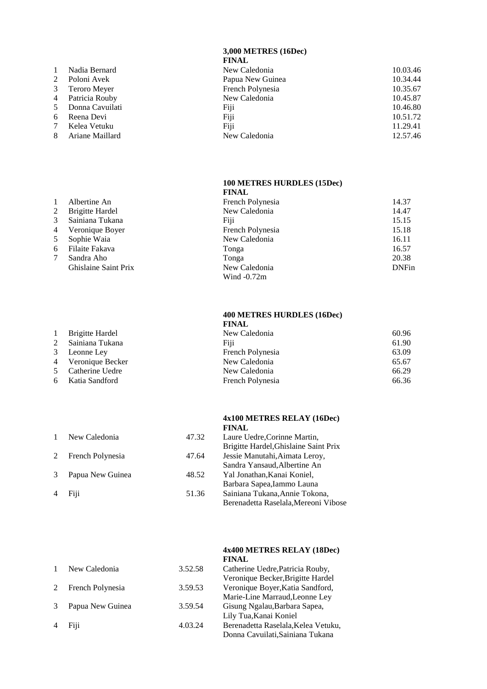**3,000 METRES (16Dec)**

- 
- 
- 4 Patricia Rouby
- 
- 
- 
- 
- **FINAL** 1 Nadia Bernard New Caledonia 10.03.46<br>2 Poloni Avek Papua New Guinea 10.34.44 Poloni Avek Papua New Guinea 10.34.44<br>
2 Papua New Guinea 10.34.44<br>
2 Pench Polynesia 10.35.67 3 Teroro Meyer French Polynesia<br>
4 Patricia Rouby New Caledonia<br>
10.35.67<br>
10.45.87 5 Donna Cavuilati Fiji Fiji 10.46.80 6 Reena Devi Fiji Fiji 10.51.72 7 Kelea Vetuku 11.29.41 8 Ariane Maillard 12.57.46

# **100 METRES HURDLES (15Dec)**

|              |                             | <b>FINAL</b>     |              |
|--------------|-----------------------------|------------------|--------------|
| $\mathbf{1}$ | Albertine An                | French Polynesia | 14.37        |
| 2            | <b>Brigitte Hardel</b>      | New Caledonia    | 14.47        |
| 3            | Sainiana Tukana             | Fiji             | 15.15        |
| 4            | Veronique Boyer             | French Polynesia | 15.18        |
| 5            | Sophie Waia                 | New Caledonia    | 16.11        |
| 6            | Filaite Fakava              | Tonga            | 16.57        |
|              | Sandra Aho                  | Tonga            | 20.38        |
|              | <b>Ghislaine Saint Prix</b> | New Caledonia    | <b>DNFin</b> |
|              |                             | Wind $-0.72m$    |              |

#### **400 METRES HURDLES (16Dec) FINAL**

|                    | гичар            |       |
|--------------------|------------------|-------|
| 1 Brigitte Hardel  | New Caledonia    | 60.96 |
| 2 Sainiana Tukana  | Fiii             | 61.90 |
| 3 Leonne Ley       | French Polynesia | 63.09 |
| 4 Veronique Becker | New Caledonia    | 65.67 |
| 5 Catherine Uedre  | New Caledonia    | 66.29 |
| 6 Katia Sandford   | French Polynesia | 66.36 |
|                    |                  |       |

### **4x100 METRES RELAY (16Dec) FINAL**

|   | New Caledonia    | 47.32 | Laure Uedre, Corinne Martin,          |
|---|------------------|-------|---------------------------------------|
|   |                  |       | Brigitte Hardel, Ghislaine Saint Prix |
| 2 | French Polynesia | 47.64 | Jessie Manutahi, Aimata Leroy,        |
|   |                  |       | Sandra Yansaud, Albertine An          |
|   | Papua New Guinea | 48.52 | Yal Jonathan, Kanai Koniel,           |
|   |                  |       | Barbara Sapea, Iammo Launa            |
|   | Fiji             | 51.36 | Sainiana Tukana, Annie Tokona,        |
|   |                  |       | Berenadetta Raselala, Mereoni Vibose  |
|   |                  |       |                                       |

### **4x400 METRES RELAY (18Dec) FINAL**

|   | New Caledonia    | 3.52.58 | Catherine Uedre, Patricia Rouby,    |
|---|------------------|---------|-------------------------------------|
|   |                  |         | Veronique Becker, Brigitte Hardel   |
| 2 | French Polynesia | 3.59.53 | Veronique Boyer, Katia Sandford,    |
|   |                  |         | Marie-Line Marraud, Leonne Ley      |
|   | Papua New Guinea | 3.59.54 | Gisung Ngalau, Barbara Sapea,       |
|   |                  |         | Lily Tua, Kanai Koniel              |
|   | Fiji             | 4.03.24 | Berenadetta Raselala, Kelea Vetuku, |
|   |                  |         | Donna Cavuilati, Sainiana Tukana    |
|   |                  |         |                                     |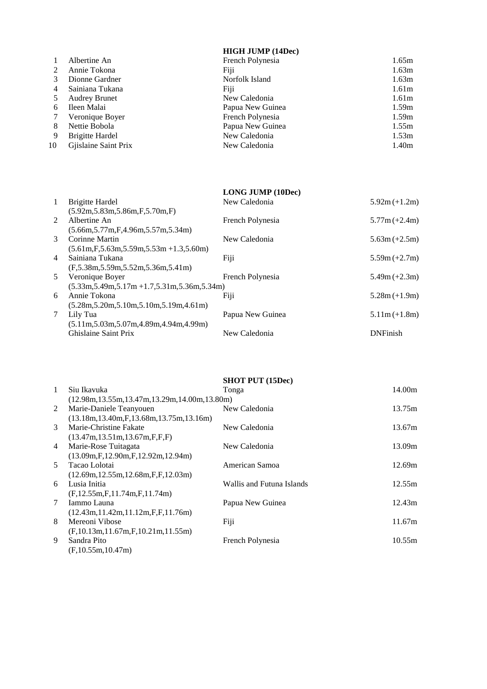# **HIGH JUMP (14Dec)**

|    | Albertine An           | French Polynesia | 1.65m             |
|----|------------------------|------------------|-------------------|
|    | Annie Tokona           | Fiji             | 1.63m             |
|    | Dionne Gardner         | Norfolk Island   | 1.63m             |
|    | Sainiana Tukana        | Fiji             | 1.61 <sub>m</sub> |
|    | <b>Audrey Brunet</b>   | New Caledonia    | 1.61 <sub>m</sub> |
| 6  | Ileen Malai            | Papua New Guinea | 1.59m             |
|    | Veronique Boyer        | French Polynesia | 1.59m             |
| 8  | Nettie Bobola          | Papua New Guinea | 1.55m             |
| 9  | <b>Brigitte Hardel</b> | New Caledonia    | 1.53m             |
| 10 | Gjislaine Saint Prix   | New Caledonia    | 1.40m             |
|    |                        |                  |                   |

|                |                                                    | <b>LONG JUMP (10Dec)</b> |                 |
|----------------|----------------------------------------------------|--------------------------|-----------------|
| $\mathbf{1}$   | <b>Brigitte Hardel</b>                             | New Caledonia            | $5.92m (+1.2m)$ |
|                | (5.92m, 5.83m, 5.86m, F, 5.70m, F)                 |                          |                 |
| $2^{\circ}$    | Albertine An                                       | French Polynesia         | $5.77m (+2.4m)$ |
|                | $(5.66m, 5.77m, F, 4.96m, 5.57m, 5.34m)$           |                          |                 |
| 3              | Corinne Martin                                     | New Caledonia            | $5.63m (+2.5m)$ |
|                | $(5.61m, F, 5.63m, 5.59m, 5.53m + 1.3, 5.60m)$     |                          |                 |
| $\overline{4}$ | Sainiana Tukana                                    | Fiji                     | $5.59m (+2.7m)$ |
|                | (F.5.38m.5.59m.5.52m.5.36m.5.41m)                  |                          |                 |
| 5 <sup>5</sup> | Veronique Boyer                                    | French Polynesia         | $5.49m (+2.3m)$ |
|                | $(5.33m, 5.49m, 5.17m + 1.7, 5.31m, 5.36m, 5.34m)$ |                          |                 |
| 6              | Annie Tokona                                       | Fiji                     | $5.28m (+1.9m)$ |
|                | $(5.28m, 5.20m, 5.10m, 5.10m, 5.19m, 4.61m)$       |                          |                 |
| 7              | Lily Tua                                           | Papua New Guinea         | $5.11m (+1.8m)$ |
|                | $(5.11m, 5.03m, 5.07m, 4.89m, 4.94m, 4.99m)$       |                          |                 |
|                | Ghislaine Saint Prix                               | New Caledonia            | <b>DNFinish</b> |
|                |                                                    |                          |                 |

|                |                                                    | <b>SHOT PUT (15Dec)</b>   |        |
|----------------|----------------------------------------------------|---------------------------|--------|
| $\overline{1}$ | Siu Ikavuka                                        | Tonga                     | 14.00m |
|                | $(12.98m, 13.55m, 13.47m, 13.29m, 14.00m, 13.80m)$ |                           |        |
| 2              | Marie-Daniele Teanyouen                            | New Caledonia             | 13.75m |
|                | $(13.18m, 13.40m, F, 13.68m, 13.75m, 13.16m)$      |                           |        |
| $\mathcal{E}$  | Marie-Christine Fakate                             | New Caledonia             | 13.67m |
|                | (13.47m, 13.51m, 13.67m, F.F.F)                    |                           |        |
| $\overline{4}$ | Marie-Rose Tuitagata                               | New Caledonia             | 13.09m |
|                | $(13.09m, F, 12.90m, F, 12.92m, 12.94m)$           |                           |        |
| .5             | Tacao Lolotai                                      | American Samoa            | 12.69m |
|                | $(12.69m, 12.55m, 12.68m, F, F, 12.03m)$           |                           |        |
| 6              | Lusia Initia                                       | Wallis and Futuna Islands | 12.55m |
|                | (F, 12.55m, F, 11.74m, F, 11.74m)                  |                           |        |
| 7              | Iammo Launa                                        | Papua New Guinea          | 12.43m |
|                | $(12.43m, 11.42m, 11.12m, F, F, 11.76m)$           |                           |        |
| 8              | Mereoni Vibose                                     | Fiji                      | 11.67m |
|                | $(F, 10.13m, 11.67m, F, 10.21m, 11.55m)$           |                           |        |
| 9              | Sandra Pito                                        | French Polynesia          | 10.55m |
|                | (F, 10.55m, 10.47m)                                |                           |        |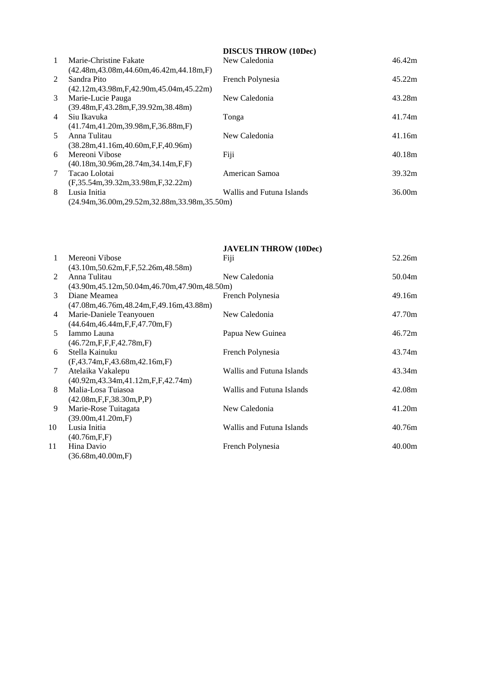|                |                                                    | <b>DISCUS THROW (10Dec)</b> |        |
|----------------|----------------------------------------------------|-----------------------------|--------|
| $\mathbf{1}$   | Marie-Christine Fakate                             | New Caledonia               | 46.42m |
|                | $(42.48m, 43.08m, 44.60m, 46.42m, 44.18m, F)$      |                             |        |
| $\mathcal{L}$  | Sandra Pito                                        | French Polynesia            | 45.22m |
|                | $(42.12m, 43.98m, F, 42.90m, 45.04m, 45.22m)$      |                             |        |
| 3              | Marie-Lucie Pauga                                  | New Caledonia               | 43.28m |
|                | $(39.48m, F, 43.28m, F, 39.92m, 38.48m)$           |                             |        |
| $\overline{4}$ | Siu Ikavuka                                        | Tonga                       | 41.74m |
|                | $(41.74m, 41.20m, 39.98m, F, 36.88m, F)$           |                             |        |
| .5             | Anna Tulitau                                       | New Caledonia               | 41.16m |
|                | (38.28m, 41.16m, 40.60m, F.F. 40.96m)              |                             |        |
| 6              | Mereoni Vibose                                     | Fiji                        | 40.18m |
|                | $(40.18m, 30.96m, 28.74m, 34.14m, F, F)$           |                             |        |
| 7              | Tacao Lolotai                                      | American Samoa              | 39.32m |
|                | (F.35.54m.39.32m.33.98m.F.32.22m)                  |                             |        |
| 8              | Lusia Initia                                       | Wallis and Futuna Islands   | 36.00m |
|                | $(24.94m, 36.00m, 29.52m, 32.88m, 33.98m, 35.50m)$ |                             |        |

|                |                                                               | <b>JAVELIN THROW (10Dec)</b> |        |
|----------------|---------------------------------------------------------------|------------------------------|--------|
| 1              | Mereoni Vibose                                                | Fiji                         | 52.26m |
|                | (43.10m, 50.62m, F, F, 52.26m, 48.58m)                        |                              |        |
| $\mathfrak{D}$ | Anna Tulitau                                                  | New Caledonia                | 50.04m |
|                | $(43.90m, 45.12m, 50.04m, 46.70m, 47.90m, 48.50m)$            |                              |        |
| 3              | Diane Meamea                                                  | French Polynesia             | 49.16m |
|                | (47.08m, 46.76m, 48.24m, F, 49.16m, 43.88m)                   |                              |        |
| 4              | Marie-Daniele Teanyouen                                       | New Caledonia                | 47.70m |
|                | (44.64m, 46.44m, F, F, 47.70m, F)                             |                              |        |
| 5              | Iammo Launa                                                   | Papua New Guinea             | 46.72m |
|                | $(46.72m,\mathrm{F},\mathrm{F},\mathrm{F},42.78m,\mathrm{F})$ |                              |        |
| 6              | Stella Kainuku                                                | French Polynesia             | 43.74m |
|                | (F, 43.74m, F, 43.68m, 42.16m, F)                             |                              |        |
| 7              | Atelaika Vakalepu                                             | Wallis and Futuna Islands    | 43.34m |
|                | $(40.92m, 43.34m, 41.12m, F, F, 42.74m)$                      |                              |        |
| 8              | Malia-Losa Tuiasoa                                            | Wallis and Futuna Islands    | 42.08m |
|                | (42.08m, F, F, 38.30m, P, P)                                  |                              |        |
| 9              | Marie-Rose Tuitagata                                          | New Caledonia                | 41.20m |
|                | (39.00m, 41.20m, F)                                           |                              |        |
| 10             | Lusia Initia                                                  | Wallis and Futuna Islands    | 40.76m |
|                | (40.76m,F,F)                                                  |                              |        |
| 11             | Hina Davio                                                    | French Polynesia             | 40.00m |
|                | (36.68m, 40.00m, F)                                           |                              |        |